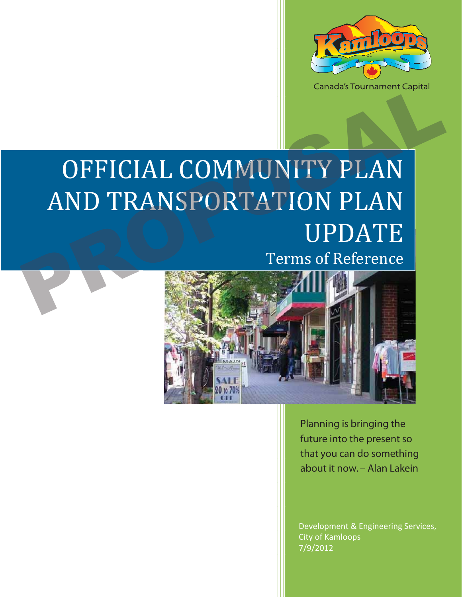

# OFFICIAL COMMUNITY PLAN AND TRANSPORTATION PLAN UPDATE OFFICIAL COMMUNITY PLAN<br>AND TRANSPORTATION PLAN<br>Terms of Reference

# Terms of Reference



*Planning is bringing the future into the present so that you can do something about it now. – Alan Lakein* 

Development & Engineering Services, City of Kamloops 7/9/2012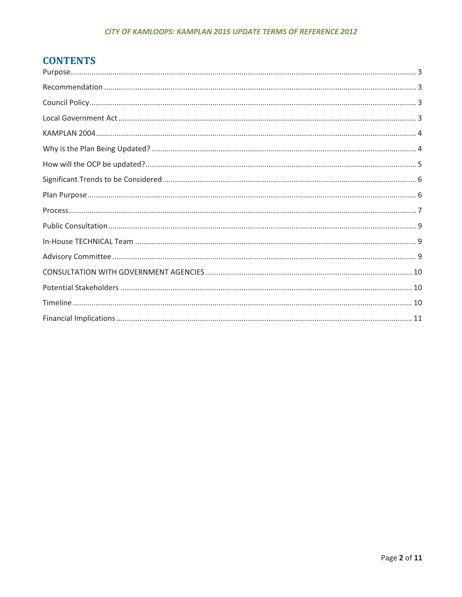#### CITY OF KAMLOOPS: KAMPLAN 2015 UPDATE TERMS OF REFERENCE 2012

# **CONTENTS**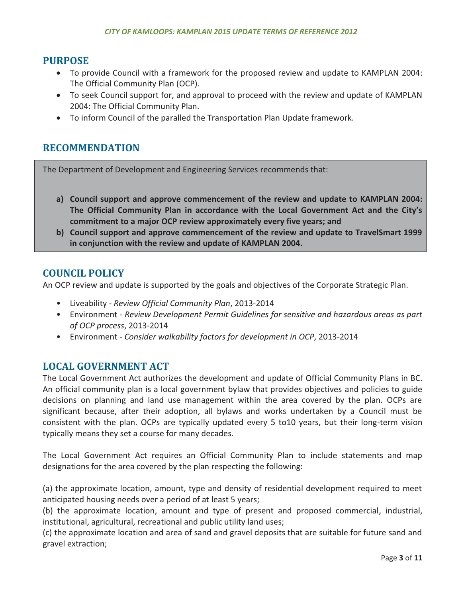#### **PURPOSE**

- To provide Council with a framework for the proposed review and update to KAMPLAN 2004: The Official Community Plan (OCP).
- To seek Council support for, and approval to proceed with the review and update of KAMPLAN 2004: The Official Community Plan.
- To inform Council of the paralled the Transportation Plan Update framework.

# **RECOMMENDATION**

The Department of Development and Engineering Services recommends that:

- **a) Council support and approve commencement of the review and update to KAMPLAN 2004: The Official Community Plan in accordance with the Local Government Act and the City's commitment to a major OCP review approximately every five years; and**
- **b) Council support and approve commencement of the review and update to TravelSmart 1999 in conjunction with the review and update of KAMPLAN 2004.**

## **COUNCIL POLICY**

An OCP review and update is supported by the goals and objectives of the Corporate Strategic Plan.

- Liveability *Review Official Community Plan*, 2013-2014
- Environment *Review Development Permit Guidelines for sensitive and hazardous areas as part of OCP process*, 2013-2014
- Environment *Consider walkability factors for development in OCP*, 2013-2014

# **LOCAL GOVERNMENT ACT**

The Local Government Act authorizes the development and update of Official Community Plans in BC. An official community plan is a local government bylaw that provides objectives and policies to guide decisions on planning and land use management within the area covered by the plan. OCPs are significant because, after their adoption, all bylaws and works undertaken by a Council must be consistent with the plan. OCPs are typically updated every 5 to10 years, but their long-term vision typically means they set a course for many decades.

The Local Government Act requires an Official Community Plan to include statements and map designations for the area covered by the plan respecting the following:

(a) the approximate location, amount, type and density of residential development required to meet anticipated housing needs over a period of at least 5 years;

(b) the approximate location, amount and type of present and proposed commercial, industrial, institutional, agricultural, recreational and public utility land uses;

(c) the approximate location and area of sand and gravel deposits that are suitable for future sand and gravel extraction;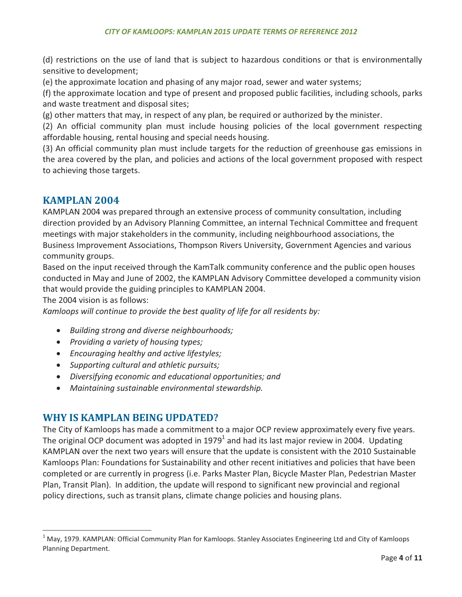(d) restrictions on the use of land that is subject to hazardous conditions or that is environmentally sensitive to development;

(e) the approximate location and phasing of any major road, sewer and water systems;

(f) the approximate location and type of present and proposed public facilities, including schools, parks and waste treatment and disposal sites;

(g) other matters that may, in respect of any plan, be required or authorized by the minister.

(2) An official community plan must include housing policies of the local government respecting affordable housing, rental housing and special needs housing.

(3) An official community plan must include targets for the reduction of greenhouse gas emissions in the area covered by the plan, and policies and actions of the local government proposed with respect to achieving those targets.

# **KAMPLAN 2004**

KAMPLAN 2004 was prepared through an extensive process of community consultation, including direction provided by an Advisory Planning Committee, an internal Technical Committee and frequent meetings with major stakeholders in the community, including neighbourhood associations, the Business Improvement Associations, Thompson Rivers University, Government Agencies and various community groups.

Based on the input received through the KamTalk community conference and the public open houses conducted in May and June of 2002, the KAMPLAN Advisory Committee developed a community vision that would provide the guiding principles to KAMPLAN 2004.

The 2004 vision is as follows:

 $\overline{a}$ 

*Kamloops will continue to provide the best quality of life for all residents by:* 

- *Building strong and diverse neighbourhoods;*
- *Providing a variety of housing types;*
- *Encouraging healthy and active lifestyles;*
- *Supporting cultural and athletic pursuits;*
- *Diversifying economic and educational opportunities; and*
- *Maintaining sustainable environmental stewardship.*

# **WHY IS KAMPLAN BEING UPDATED?**

The City of Kamloops has made a commitment to a major OCP review approximately every five years. The original OCP document was adopted in 1979<sup>1</sup> and had its last major review in 2004. Updating KAMPLAN over the next two years will ensure that the update is consistent with the 2010 Sustainable Kamloops Plan: Foundations for Sustainability and other recent initiatives and policies that have been completed or are currently in progress (i.e. Parks Master Plan, Bicycle Master Plan, Pedestrian Master Plan, Transit Plan). In addition, the update will respond to significant new provincial and regional policy directions, such as transit plans, climate change policies and housing plans.

 $^1$  May, 1979. KAMPLAN: Official Community Plan for Kamloops. Stanley Associates Engineering Ltd and City of Kamloops Planning Department.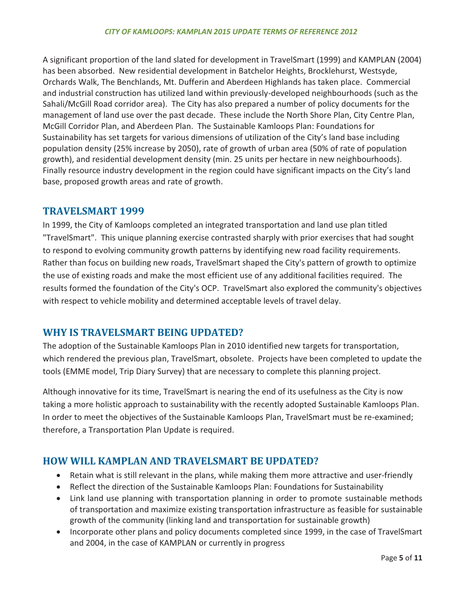A significant proportion of the land slated for development in TravelSmart (1999) and KAMPLAN (2004) has been absorbed. New residential development in Batchelor Heights, Brocklehurst, Westsyde, Orchards Walk, The Benchlands, Mt. Dufferin and Aberdeen Highlands has taken place. Commercial and industrial construction has utilized land within previously-developed neighbourhoods (such as the Sahali/McGill Road corridor area). The City has also prepared a number of policy documents for the management of land use over the past decade. These include the North Shore Plan, City Centre Plan, McGill Corridor Plan, and Aberdeen Plan. The Sustainable Kamloops Plan: Foundations for Sustainability has set targets for various dimensions of utilization of the City's land base including population density (25% increase by 2050), rate of growth of urban area (50% of rate of population growth), and residential development density (min. 25 units per hectare in new neighbourhoods). Finally resource industry development in the region could have significant impacts on the City's land base, proposed growth areas and rate of growth.

# **TRAVELSMART 1999**

In 1999, the City of Kamloops completed an integrated transportation and land use plan titled "TravelSmart". This unique planning exercise contrasted sharply with prior exercises that had sought to respond to evolving community growth patterns by identifying new road facility requirements. Rather than focus on building new roads, TravelSmart shaped the City's pattern of growth to optimize the use of existing roads and make the most efficient use of any additional facilities required. The results formed the foundation of the City's OCP. TravelSmart also explored the community's objectives with respect to vehicle mobility and determined acceptable levels of travel delay.

# **WHY IS TRAVELSMART BEING UPDATED?**

The adoption of the Sustainable Kamloops Plan in 2010 identified new targets for transportation, which rendered the previous plan, TravelSmart, obsolete. Projects have been completed to update the tools (EMME model, Trip Diary Survey) that are necessary to complete this planning project.

Although innovative for its time, TravelSmart is nearing the end of its usefulness as the City is now taking a more holistic approach to sustainability with the recently adopted Sustainable Kamloops Plan. In order to meet the objectives of the Sustainable Kamloops Plan, TravelSmart must be re-examined; therefore, a Transportation Plan Update is required.

# **HOW WILL KAMPLAN AND TRAVELSMART BE UPDATED?**

- Retain what is still relevant in the plans, while making them more attractive and user-friendly
- Reflect the direction of the Sustainable Kamloops Plan: Foundations for Sustainability
- Link land use planning with transportation planning in order to promote sustainable methods of transportation and maximize existing transportation infrastructure as feasible for sustainable growth of the community (linking land and transportation for sustainable growth)
- Incorporate other plans and policy documents completed since 1999, in the case of TravelSmart and 2004, in the case of KAMPLAN or currently in progress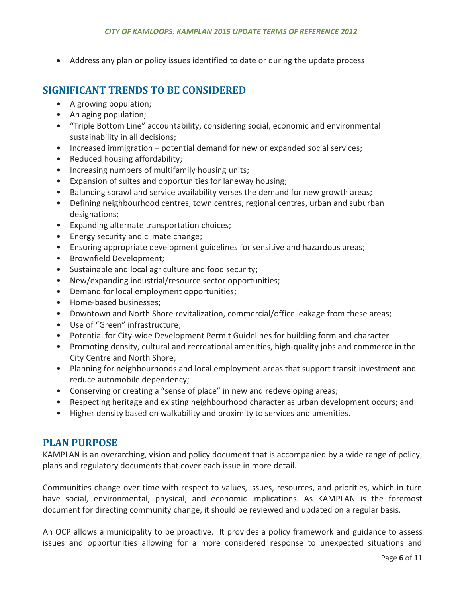- Address any plan or policy issues identified to date or during the update process

# **SIGNIFICANT TRENDS TO BE CONSIDERED**

- A growing population;
- An aging population;
- "Triple Bottom Line" accountability, considering social, economic and environmental sustainability in all decisions;
- Increased immigration potential demand for new or expanded social services;
- Reduced housing affordability;
- Increasing numbers of multifamily housing units;
- Expansion of suites and opportunities for laneway housing;
- Balancing sprawl and service availability verses the demand for new growth areas;
- Defining neighbourhood centres, town centres, regional centres, urban and suburban designations;
- Expanding alternate transportation choices;
- Energy security and climate change;
- Ensuring appropriate development guidelines for sensitive and hazardous areas;
- Brownfield Development;
- Sustainable and local agriculture and food security;
- New/expanding industrial/resource sector opportunities;
- Demand for local employment opportunities;
- Home-based businesses;
- Downtown and North Shore revitalization, commercial/office leakage from these areas;
- Use of "Green" infrastructure;
- Potential for City-wide Development Permit Guidelines for building form and character
- Promoting density, cultural and recreational amenities, high-quality jobs and commerce in the City Centre and North Shore;
- Planning for neighbourhoods and local employment areas that support transit investment and reduce automobile dependency;
- Conserving or creating a "sense of place" in new and redeveloping areas;
- Respecting heritage and existing neighbourhood character as urban development occurs; and
- Higher density based on walkability and proximity to services and amenities.

# **PLAN PURPOSE**

KAMPLAN is an overarching, vision and policy document that is accompanied by a wide range of policy, plans and regulatory documents that cover each issue in more detail.

Communities change over time with respect to values, issues, resources, and priorities, which in turn have social, environmental, physical, and economic implications. As KAMPLAN is the foremost document for directing community change, it should be reviewed and updated on a regular basis.

An OCP allows a municipality to be proactive. It provides a policy framework and guidance to assess issues and opportunities allowing for a more considered response to unexpected situations and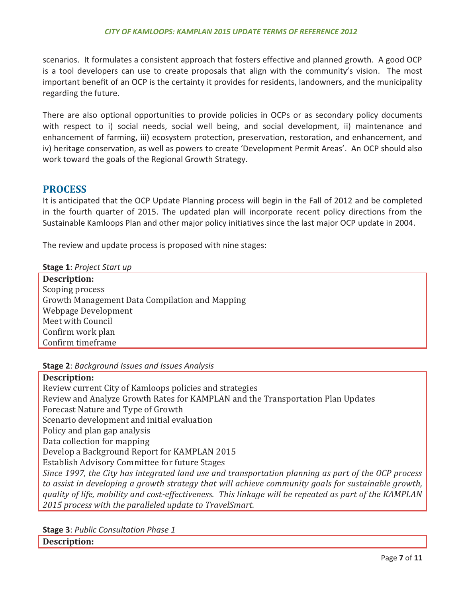scenarios. It formulates a consistent approach that fosters effective and planned growth. A good OCP is a tool developers can use to create proposals that align with the community's vision. The most important benefit of an OCP is the certainty it provides for residents, landowners, and the municipality regarding the future.

There are also optional opportunities to provide policies in OCPs or as secondary policy documents with respect to i) social needs, social well being, and social development, ii) maintenance and enhancement of farming, iii) ecosystem protection, preservation, restoration, and enhancement, and iv) heritage conservation, as well as powers to create 'Development Permit Areas'. An OCP should also work toward the goals of the Regional Growth Strategy.

# **PROCESS**

It is anticipated that the OCP Update Planning process will begin in the Fall of 2012 and be completed in the fourth quarter of 2015. The updated plan will incorporate recent policy directions from the Sustainable Kamloops Plan and other major policy initiatives since the last major OCP update in 2004.

The review and update process is proposed with nine stages:

**Stage 1**: *Project Start up* 

**Description:**  Scoping process Growth Management Data Compilation and Mapping Webpage Development Meet with Council Confirm work plan Confirm timeframe

**Stage 2**: *Background Issues and Issues Analysis*

#### **Description:**

Review current City of Kamloops policies and strategies Review and Analyze Growth Rates for KAMPLAN and the Transportation Plan Updates Forecast Nature and Type of Growth Scenario development and initial evaluation Policy and plan gap analysis Data collection for mapping Develop a Background Report for KAMPLAN 2015 Establish Advisory Committee for future Stages *Since 1997, the City has integrated land use and transportation planning as part of the OCP process to assist in developing a growth strategy that will achieve community goals for sustainable growth, quality of life, mobility and cost-effectiveness. This linkage will be repeated as part of the KAMPLAN 2015 process with the paralleled update to TravelSmart.* 

**Stage 3**: *Public Consultation Phase 1* 

**Description:**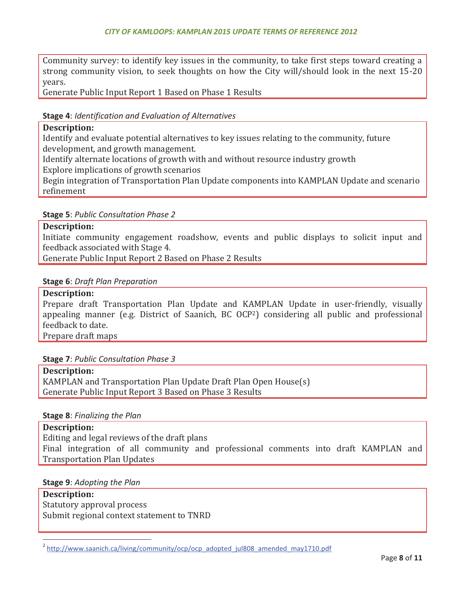Community survey: to identify key issues in the community, to take first steps toward creating a strong community vision, to seek thoughts on how the City will/should look in the next 15-20 years.

Generate Public Input Report 1 Based on Phase 1 Results

#### **Stage 4**: *Identification and Evaluation of Alternatives*

#### **Description:**

Identify and evaluate potential alternatives to key issues relating to the community, future development, and growth management.

Identify alternate locations of growth with and without resource industry growth

Explore implications of growth scenarios

Begin integration of Transportation Plan Update components into KAMPLAN Update and scenario refinement

#### **Stage 5**: *Public Consultation Phase 2*

#### **Description:**

Initiate community engagement roadshow, events and public displays to solicit input and feedback associated with Stage 4.

Generate Public Input Report 2 Based on Phase 2 Results

#### **Stage 6**: *Draft Plan Preparation*

#### **Description:**

Prepare draft Transportation Plan Update and KAMPLAN Update in user-friendly, visually appealing manner (e.g. District of Saanich, BC OCP2) considering all public and professional feedback to date.

Prepare draft maps

#### **Stage 7**: *Public Consultation Phase 3*

**Description:**  KAMPLAN and Transportation Plan Update Draft Plan Open House(s) Generate Public Input Report 3 Based on Phase 3 Results

#### **Stage 8**: *Finalizing the Plan*

**Description:**  Editing and legal reviews of the draft plans Final integration of all community and professional comments into draft KAMPLAN and Transportation Plan Updates

#### **Stage 9**: *Adopting the Plan*

 $\overline{a}$ 

**Description:**  Statutory approval process Submit regional context statement to TNRD

<sup>&</sup>lt;sup>2</sup> http://www.saanich.ca/living/community/ocp/ocp\_adopted\_jul808\_amended\_may1710.pdf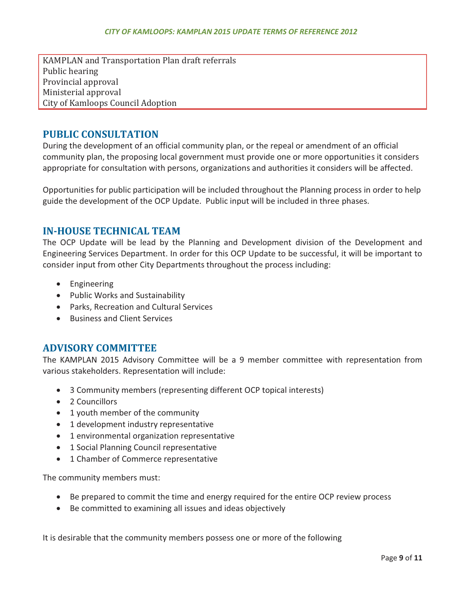KAMPLAN and Transportation Plan draft referrals Public hearing Provincial approval Ministerial approval City of Kamloops Council Adoption

# **PUBLIC CONSULTATION**

During the development of an official community plan, or the repeal or amendment of an official community plan, the proposing local government must provide one or more opportunities it considers appropriate for consultation with persons, organizations and authorities it considers will be affected.

Opportunities for public participation will be included throughout the Planning process in order to help guide the development of the OCP Update. Public input will be included in three phases.

# **IN-HOUSE TECHNICAL TEAM**

The OCP Update will be lead by the Planning and Development division of the Development and Engineering Services Department. In order for this OCP Update to be successful, it will be important to consider input from other City Departments throughout the process including:

- **•** Engineering
- Public Works and Sustainability
- Parks, Recreation and Cultural Services
- Business and Client Services

## **ADVISORY COMMITTEE**

The KAMPLAN 2015 Advisory Committee will be a 9 member committee with representation from various stakeholders. Representation will include:

- 3 Community members (representing different OCP topical interests)
- 2 Councillors
- 1 youth member of the community
- 1 development industry representative
- 1 environmental organization representative
- $\bullet$  1 Social Planning Council representative
- 1 Chamber of Commerce representative

The community members must:

- Be prepared to commit the time and energy required for the entire OCP review process
- Be committed to examining all issues and ideas objectively

It is desirable that the community members possess one or more of the following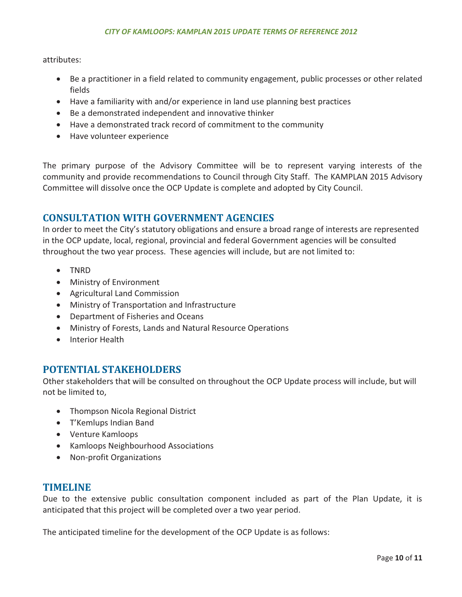attributes:

- Be a practitioner in a field related to community engagement, public processes or other related fields
- Have a familiarity with and/or experience in land use planning best practices
- Be a demonstrated independent and innovative thinker
- Have a demonstrated track record of commitment to the community
- Have volunteer experience

The primary purpose of the Advisory Committee will be to represent varying interests of the community and provide recommendations to Council through City Staff. The KAMPLAN 2015 Advisory Committee will dissolve once the OCP Update is complete and adopted by City Council.

# **CONSULTATION WITH GOVERNMENT AGENCIES**

In order to meet the City's statutory obligations and ensure a broad range of interests are represented in the OCP update, local, regional, provincial and federal Government agencies will be consulted throughout the two year process. These agencies will include, but are not limited to:

- TNRD
- Ministry of Environment
- **•** Agricultural Land Commission
- Ministry of Transportation and Infrastructure
- Department of Fisheries and Oceans
- Ministry of Forests, Lands and Natural Resource Operations
- Interior Health

# **POTENTIAL STAKEHOLDERS**

Other stakeholders that will be consulted on throughout the OCP Update process will include, but will not be limited to,

- Thompson Nicola Regional District
- T'Kemlups Indian Band
- Venture Kamloops
- Kamloops Neighbourhood Associations
- Non-profit Organizations

# **TIMELINE**

Due to the extensive public consultation component included as part of the Plan Update, it is anticipated that this project will be completed over a two year period.

The anticipated timeline for the development of the OCP Update is as follows: